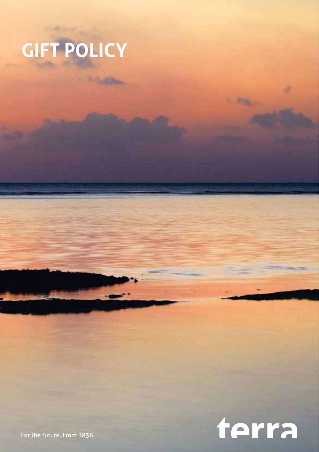



For the future. From 1838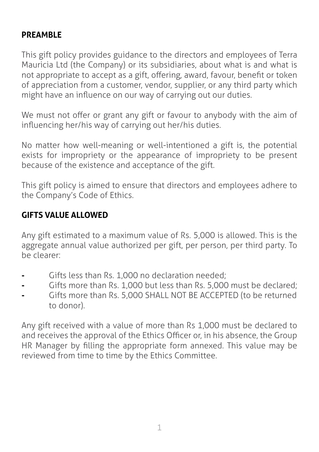### **PREAMBLE**

This gift policy provides guidance to the directors and employees of Terra Mauricia Ltd (the Company) or its subsidiaries, about what is and what is not appropriate to accept as a gift, offering, award, favour, benefit or token of appreciation from a customer, vendor, supplier, or any third party which might have an influence on our way of carrying out our duties.

We must not offer or grant any gift or favour to anybody with the aim of influencing her/his way of carrying out her/his duties.

No matter how well-meaning or well-intentioned a gift is, the potential exists for impropriety or the appearance of impropriety to be present because of the existence and acceptance of the gift.

This gift policy is aimed to ensure that directors and employees adhere to the Company's Code of Ethics.

#### **GIFTS VALUE ALLOWED**

Any gift estimated to a maximum value of Rs. 5,000 is allowed. This is the aggregate annual value authorized per gift, per person, per third party. To be clearer:

- Gifts less than Rs. 1,000 no declaration needed;
- **-** Gifts more than Rs. 1,000 but less than Rs. 5,000 must be declared;
- **-** Gifts more than Rs. 5,000 SHALL NOT BE ACCEPTED (to be returned to donor).

Any gift received with a value of more than Rs 1,000 must be declared to and receives the approval of the Ethics Officer or, in his absence, the Group HR Manager by filling the appropriate form annexed. This value may be reviewed from time to time by the Ethics Committee.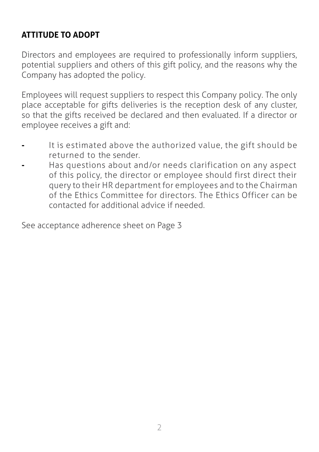### **ATTITUDE TO ADOPT**

Directors and employees are required to professionally inform suppliers, potential suppliers and others of this gift policy, and the reasons why the Company has adopted the policy.

Employees will request suppliers to respect this Company policy. The only place acceptable for gifts deliveries is the reception desk of any cluster, so that the gifts received be declared and then evaluated. If a director or employee receives a gift and:

- **-** It is estimated above the authorized value, the gift should be returned to the sender.
- **-** Has questions about and/or needs clarification on any aspect of this policy, the director or employee should first direct their query to their HR department for employees and to the Chairman of the Ethics Committee for directors. The Ethics Officer can be contacted for additional advice if needed.

See acceptance adherence sheet on Page 3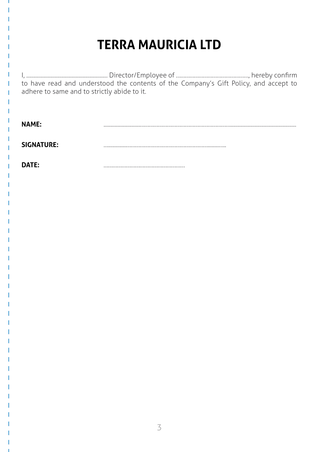## **TERRA MAURICIA LTD**

I, .......................................................... Director/Employee of …………………………………………, hereby confirm to have read and understood the contents of the Company's Gift Policy, and accept to adhere to same and to strictly abide to it.

**NAME:** ..........................……………………………………………………...............................................

**SIGNATURE:** ….............………………………………………………........…..

**DATE:** ………………………………………………

3